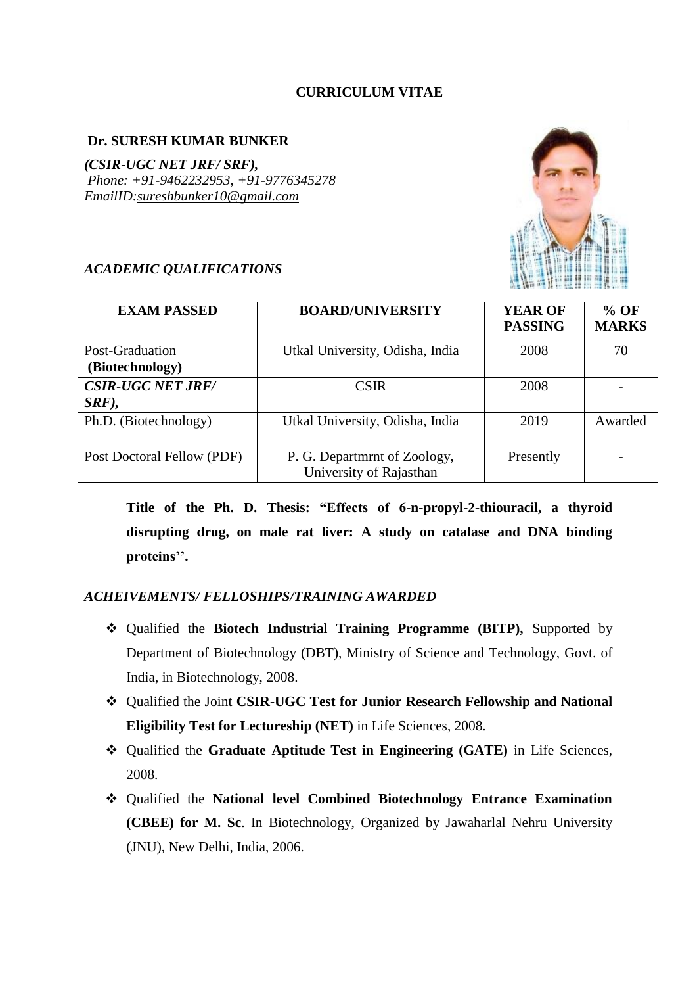# **CURRICULUM VITAE**

## **Dr. SURESH KUMAR BUNKER**

*(CSIR-UGC NET JRF/ SRF), Phone: +91-9462232953, +91-9776345278 EmailID[:sureshbunker10@gmail.com](mailto:sureshbunker10@gmail.com)*



## *ACADEMIC QUALIFICATIONS*

| <b>EXAM PASSED</b>                   | <b>BOARD/UNIVERSITY</b>                                 | <b>YEAR OF</b><br><b>PASSING</b> | $%$ OF<br><b>MARKS</b> |
|--------------------------------------|---------------------------------------------------------|----------------------------------|------------------------|
| Post-Graduation<br>(Biotechnology)   | Utkal University, Odisha, India                         | 2008                             | 70                     |
| <b>CSIR-UGC NET JRF/</b><br>$SRF$ ), | <b>CSIR</b>                                             | 2008                             |                        |
| Ph.D. (Biotechnology)                | Utkal University, Odisha, India                         | 2019                             | Awarded                |
| Post Doctoral Fellow (PDF)           | P. G. Department of Zoology,<br>University of Rajasthan | Presently                        |                        |

**Title of the Ph. D. Thesis: "Effects of 6-n-propyl-2-thiouracil, a thyroid disrupting drug, on male rat liver: A study on catalase and DNA binding proteins''.**

# *ACHEIVEMENTS/ FELLOSHIPS/TRAINING AWARDED*

- Qualified the **Biotech Industrial Training Programme (BITP),** Supported by Department of Biotechnology (DBT), Ministry of Science and Technology, Govt. of India, in Biotechnology, 2008.
- Qualified the Joint **CSIR-UGC Test for Junior Research Fellowship and National Eligibility Test for Lectureship (NET)** in Life Sciences, 2008.
- Qualified the **Graduate Aptitude Test in Engineering (GATE)** in Life Sciences, 2008.
- Qualified the **National level Combined Biotechnology Entrance Examination (CBEE) for M. Sc**. In Biotechnology, Organized by Jawaharlal Nehru University (JNU), New Delhi, India, 2006.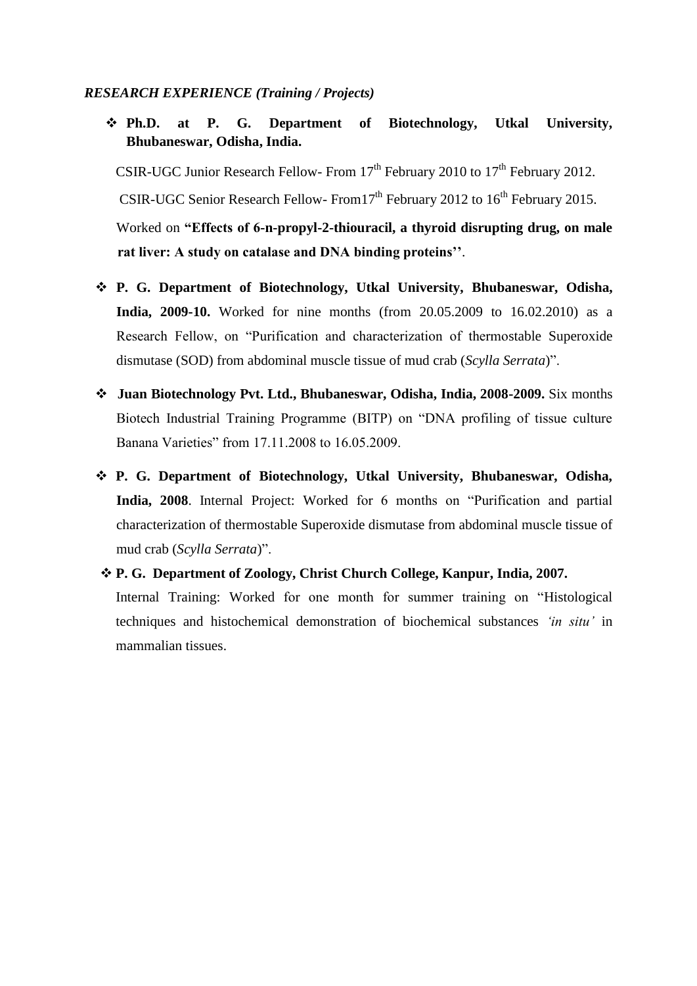## *RESEARCH EXPERIENCE (Training / Projects)*

 **Ph.D. at P. G. Department of Biotechnology, Utkal University, Bhubaneswar, Odisha, India.**

CSIR-UGC Junior Research Fellow- From  $17<sup>th</sup>$  February 2010 to  $17<sup>th</sup>$  February 2012. CSIR-UGC Senior Research Fellow- From  $17<sup>th</sup>$  February 2012 to  $16<sup>th</sup>$  February 2015. Worked on **"Effects of 6-n-propyl-2-thiouracil, a thyroid disrupting drug, on male rat liver: A study on catalase and DNA binding proteins''**.

- **P. G. Department of Biotechnology, Utkal University, Bhubaneswar, Odisha, India, 2009-10.** Worked for nine months (from 20.05.2009 to 16.02.2010) as a Research Fellow, on "Purification and characterization of thermostable Superoxide dismutase (SOD) from abdominal muscle tissue of mud crab (*Scylla Serrata*)".
- **Juan Biotechnology Pvt. Ltd., Bhubaneswar, Odisha, India, 2008-2009.** Six months Biotech Industrial Training Programme (BITP) on "DNA profiling of tissue culture Banana Varieties" from 17.11.2008 to 16.05.2009.
- **P. G. Department of Biotechnology, Utkal University, Bhubaneswar, Odisha, India, 2008**. Internal Project: Worked for 6 months on "Purification and partial characterization of thermostable Superoxide dismutase from abdominal muscle tissue of mud crab (*Scylla Serrata*)".
- **P. G. Department of Zoology, Christ Church College, Kanpur, India, 2007.** Internal Training: Worked for one month for summer training on "Histological techniques and histochemical demonstration of biochemical substances *'in situ'* in mammalian tissues.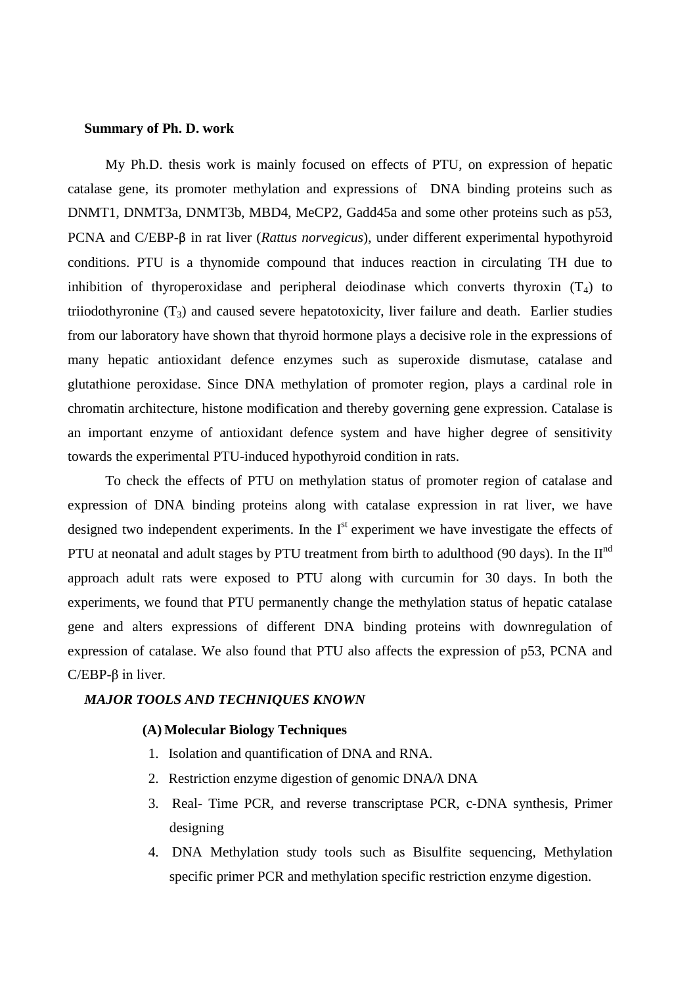#### **Summary of Ph. D. work**

My Ph.D. thesis work is mainly focused on effects of PTU, on expression of hepatic catalase gene, its promoter methylation and expressions of DNA binding proteins such as DNMT1, DNMT3a, DNMT3b, MBD4, MeCP2, Gadd45a and some other proteins such as p53, PCNA and C/EBP-β in rat liver (*Rattus norvegicus*), under different experimental hypothyroid conditions. PTU is a thynomide compound that induces reaction in circulating TH due to inhibition of thyroperoxidase and peripheral deiodinase which converts thyroxin  $(T_4)$  to triiodothyronine  $(T_3)$  and caused severe hepatotoxicity, liver failure and death. Earlier studies from our laboratory have shown that thyroid hormone plays a decisive role in the expressions of many hepatic antioxidant defence enzymes such as superoxide dismutase, catalase and glutathione peroxidase. Since DNA methylation of promoter region, plays a cardinal role in chromatin architecture, histone modification and thereby governing gene expression. Catalase is an important enzyme of antioxidant defence system and have higher degree of sensitivity towards the experimental PTU-induced hypothyroid condition in rats.

To check the effects of PTU on methylation status of promoter region of catalase and expression of DNA binding proteins along with catalase expression in rat liver, we have designed two independent experiments. In the  $I<sup>st</sup>$  experiment we have investigate the effects of PTU at neonatal and adult stages by PTU treatment from birth to adulthood (90 days). In the  $II<sup>nd</sup>$ approach adult rats were exposed to PTU along with curcumin for 30 days. In both the experiments, we found that PTU permanently change the methylation status of hepatic catalase gene and alters expressions of different DNA binding proteins with downregulation of expression of catalase. We also found that PTU also affects the expression of p53, PCNA and C/EBP-β in liver.

### *MAJOR TOOLS AND TECHNIQUES KNOWN*

#### **(A) Molecular Biology Techniques**

- 1. Isolation and quantification of DNA and RNA.
- 2. Restriction enzyme digestion of genomic DNA/λ DNA
- 3. Real- Time PCR, and reverse transcriptase PCR, c-DNA synthesis, Primer designing
- 4. DNA Methylation study tools such as Bisulfite sequencing, Methylation specific primer PCR and methylation specific restriction enzyme digestion.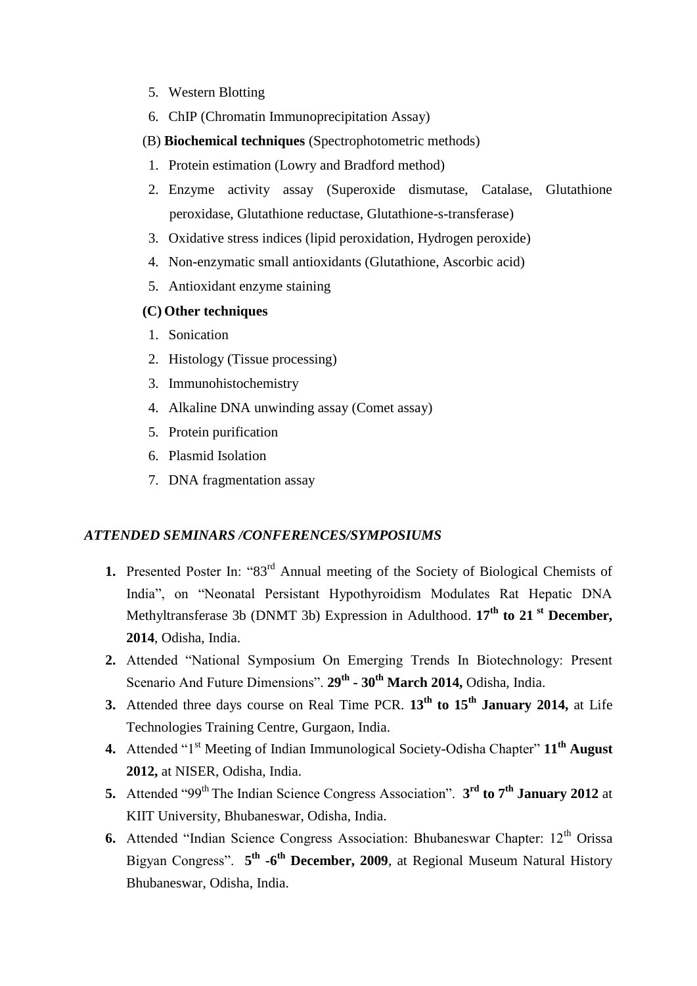- 5. Western Blotting
- 6. ChIP (Chromatin Immunoprecipitation Assay)
- (B) **Biochemical techniques** (Spectrophotometric methods)
- 1. Protein estimation (Lowry and Bradford method)
- 2. Enzyme activity assay (Superoxide dismutase, Catalase, Glutathione peroxidase, Glutathione reductase, Glutathione-s-transferase)
- 3. Oxidative stress indices (lipid peroxidation, Hydrogen peroxide)
- 4. Non-enzymatic small antioxidants (Glutathione, Ascorbic acid)
- 5. Antioxidant enzyme staining

### **(C) Other techniques**

- 1. Sonication
- 2. Histology (Tissue processing)
- 3. Immunohistochemistry
- 4. Alkaline DNA unwinding assay (Comet assay)
- 5. Protein purification
- 6. Plasmid Isolation
- 7. DNA fragmentation assay

### *ATTENDED SEMINARS /CONFERENCES/SYMPOSIUMS*

- **1.** Presented Poster In: "83<sup>rd</sup> Annual meeting of the Society of Biological Chemists of India", on "Neonatal Persistant Hypothyroidism Modulates Rat Hepatic DNA Methyltransferase 3b (DNMT 3b) Expression in Adulthood. **17th to 21 st December, 2014**, Odisha, India.
- **2.** Attended "National Symposium On Emerging Trends In Biotechnology: Present Scenario And Future Dimensions". **29th - 30th March 2014,** Odisha, India.
- **3.** Attended three days course on Real Time PCR. **13th to 15th January 2014,** at Life Technologies Training Centre, Gurgaon, India.
- **4.** Attended "1st Meeting of Indian Immunological Society-Odisha Chapter" **11th August 2012,** at NISER, Odisha, India.
- **5.** Attended "99th The Indian Science Congress Association". **3 rd to 7th January 2012** at KIIT University, Bhubaneswar, Odisha, India.
- **6.** Attended "Indian Science Congress Association: Bhubaneswar Chapter: 12<sup>th</sup> Orissa Bigyan Congress". **5 th -6 th December, 2009**, at Regional Museum Natural History Bhubaneswar, Odisha, India.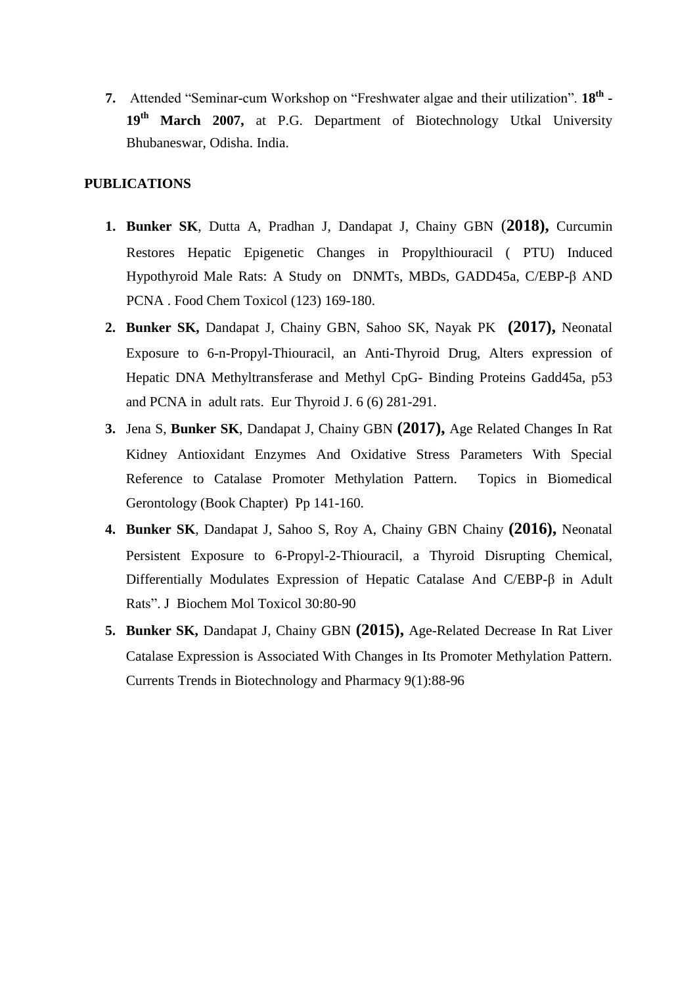**7.** Attended "Seminar-cum Workshop on "Freshwater algae and their utilization". **18th - 19th March 2007,** at P.G. Department of Biotechnology Utkal University Bhubaneswar, Odisha. India.

### **PUBLICATIONS**

- **1. Bunker SK**, Dutta A, Pradhan J, Dandapat J, Chainy GBN (**2018),** Curcumin Restores Hepatic Epigenetic Changes in Propylthiouracil ( PTU) Induced Hypothyroid Male Rats: A Study on DNMTs, MBDs, GADD45a, C/EBP-β AND PCNA . Food Chem Toxicol (123) 169-180.
- **2. Bunker SK,** Dandapat J, Chainy GBN, Sahoo SK, Nayak PK **(2017),** Neonatal Exposure to 6-n-Propyl-Thiouracil, an Anti-Thyroid Drug, Alters expression of Hepatic DNA Methyltransferase and Methyl CpG- Binding Proteins Gadd45a, p53 and PCNA in adult rats. Eur Thyroid J. 6 (6) 281-291.
- **3.** Jena S, **Bunker SK**, Dandapat J, Chainy GBN **(2017),** Age Related Changes In Rat Kidney Antioxidant Enzymes And Oxidative Stress Parameters With Special Reference to Catalase Promoter Methylation Pattern. Topics in Biomedical Gerontology (Book Chapter) Pp 141-160.
- **4. Bunker SK**, Dandapat J, Sahoo S, Roy A, Chainy GBN Chainy **(2016),** Neonatal Persistent Exposure to 6-Propyl-2-Thiouracil, a Thyroid Disrupting Chemical, Differentially Modulates Expression of Hepatic Catalase And C/EBP-β in Adult Rats". J Biochem Mol Toxicol 30:80-90
- **5. Bunker SK,** Dandapat J, Chainy GBN **(2015),** Age-Related Decrease In Rat Liver Catalase Expression is Associated With Changes in Its Promoter Methylation Pattern. Currents Trends in Biotechnology and Pharmacy 9(1):88-96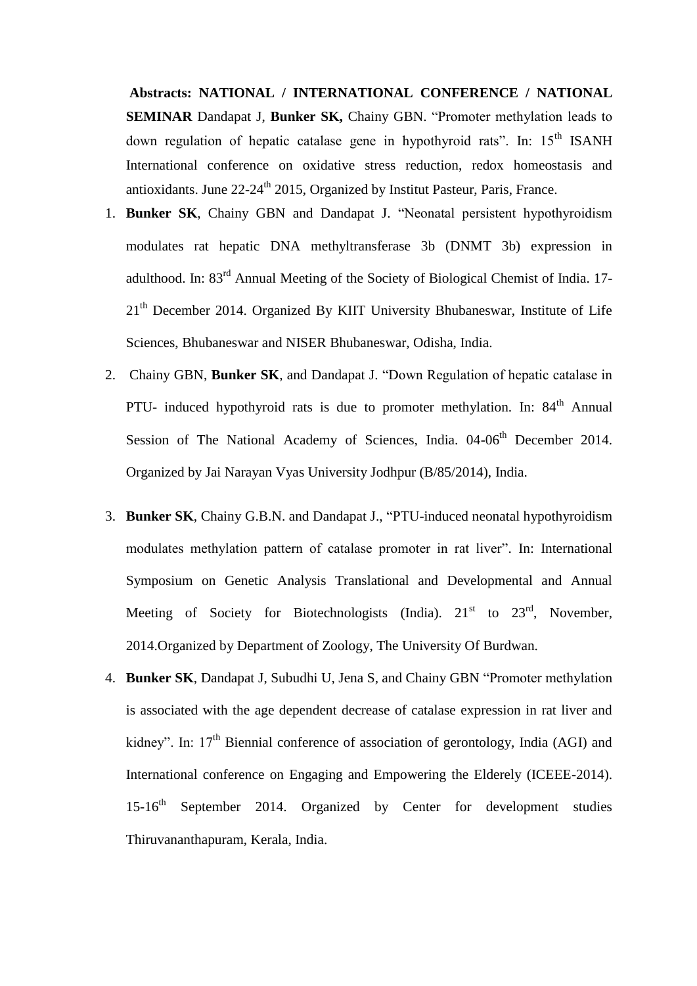**Abstracts: NATIONAL / INTERNATIONAL CONFERENCE / NATIONAL SEMINAR** Dandapat J, **Bunker SK,** Chainy GBN. "Promoter methylation leads to down regulation of hepatic catalase gene in hypothyroid rats". In:  $15<sup>th</sup>$  ISANH International conference on oxidative stress reduction, redox homeostasis and antioxidants. June  $22-24^{\text{th}}$  2015, Organized by Institut Pasteur, Paris, France.

- 1. **Bunker SK**, Chainy GBN and Dandapat J. "Neonatal persistent hypothyroidism modulates rat hepatic DNA methyltransferase 3b (DNMT 3b) expression in adulthood. In: 83rd Annual Meeting of the Society of Biological Chemist of India. 17- 21<sup>th</sup> December 2014. Organized By KIIT University Bhubaneswar, Institute of Life Sciences, Bhubaneswar and NISER Bhubaneswar, Odisha, India.
- 2. Chainy GBN, **Bunker SK**, and Dandapat J. "Down Regulation of hepatic catalase in PTU- induced hypothyroid rats is due to promoter methylation. In:  $84<sup>th</sup>$  Annual Session of The National Academy of Sciences, India. 04-06<sup>th</sup> December 2014. Organized by Jai Narayan Vyas University Jodhpur (B/85/2014), India.
- 3. **Bunker SK**, Chainy G.B.N. and Dandapat J., "PTU-induced neonatal hypothyroidism modulates methylation pattern of catalase promoter in rat liver". In: International Symposium on Genetic Analysis Translational and Developmental and Annual Meeting of Society for Biotechnologists (India).  $21<sup>st</sup>$  to  $23<sup>rd</sup>$ , November, 2014.Organized by Department of Zoology, The University Of Burdwan.
- 4. **Bunker SK**, Dandapat J, Subudhi U, Jena S, and Chainy GBN "Promoter methylation is associated with the age dependent decrease of catalase expression in rat liver and kidney". In:  $17<sup>th</sup>$  Biennial conference of association of gerontology, India (AGI) and International conference on Engaging and Empowering the Elderely (ICEEE-2014). 15-16<sup>th</sup> September 2014. Organized by Center for development studies Thiruvananthapuram, Kerala, India.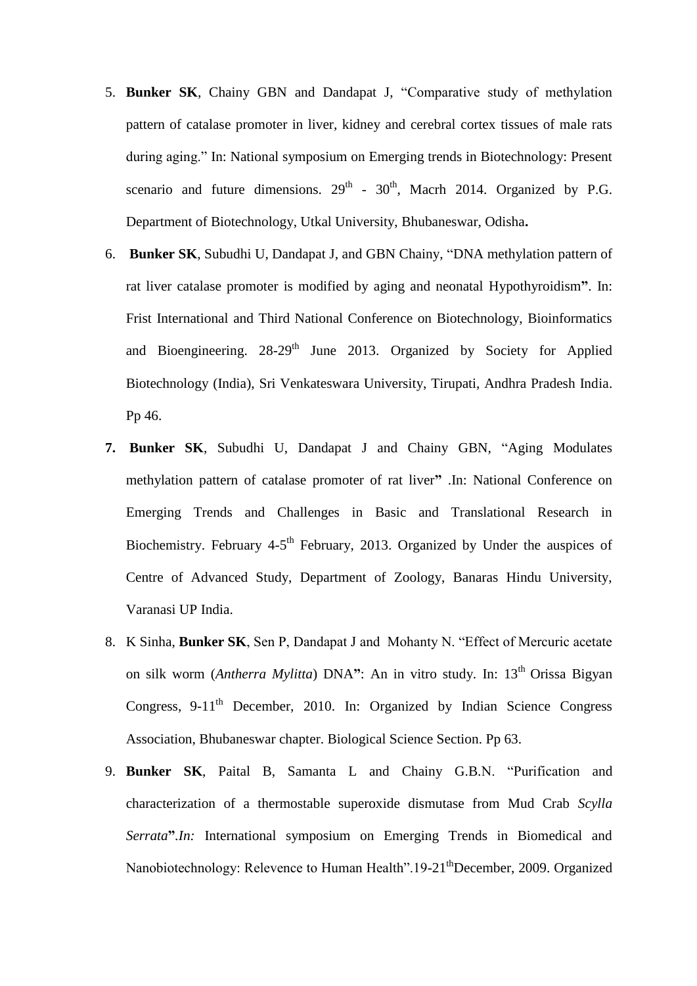- 5. **Bunker SK**, Chainy GBN and Dandapat J, "Comparative study of methylation pattern of catalase promoter in liver, kidney and cerebral cortex tissues of male rats during aging." In: National symposium on Emerging trends in Biotechnology: Present scenario and future dimensions.  $29<sup>th</sup>$  -  $30<sup>th</sup>$ , Macrh 2014. Organized by P.G. Department of Biotechnology, Utkal University, Bhubaneswar, Odisha**.**
- 6. **Bunker SK**, Subudhi U, Dandapat J, and GBN Chainy, "DNA methylation pattern of rat liver catalase promoter is modified by aging and neonatal Hypothyroidism**"**. In: Frist International and Third National Conference on Biotechnology, Bioinformatics and Bioengineering.  $28-29$ <sup>th</sup> June 2013. Organized by Society for Applied Biotechnology (India), Sri Venkateswara University, Tirupati, Andhra Pradesh India. Pp 46.
- **7. Bunker SK**, Subudhi U, Dandapat J and Chainy GBN, "Aging Modulates methylation pattern of catalase promoter of rat liver**"** .In: National Conference on Emerging Trends and Challenges in Basic and Translational Research in Biochemistry. February 4-5<sup>th</sup> February, 2013. Organized by Under the auspices of Centre of Advanced Study, Department of Zoology, Banaras Hindu University, Varanasi UP India.
- 8. K Sinha, **Bunker SK**, Sen P, Dandapat J and Mohanty N. "Effect of Mercuric acetate on silk worm (*Antherra Mylitta*) DNA": An in vitro study. In: 13<sup>th</sup> Orissa Bigyan Congress,  $9-11<sup>th</sup>$  December, 2010. In: Organized by Indian Science Congress Association, Bhubaneswar chapter. Biological Science Section. Pp 63.
- 9. **Bunker SK**, Paital B, Samanta L and Chainy G.B.N. "Purification and characterization of a thermostable superoxide dismutase from Mud Crab *Scylla Serrata***"***.In:* International symposium on Emerging Trends in Biomedical and Nanobiotechnology: Relevence to Human Health".19-21<sup>th</sup>December, 2009. Organized